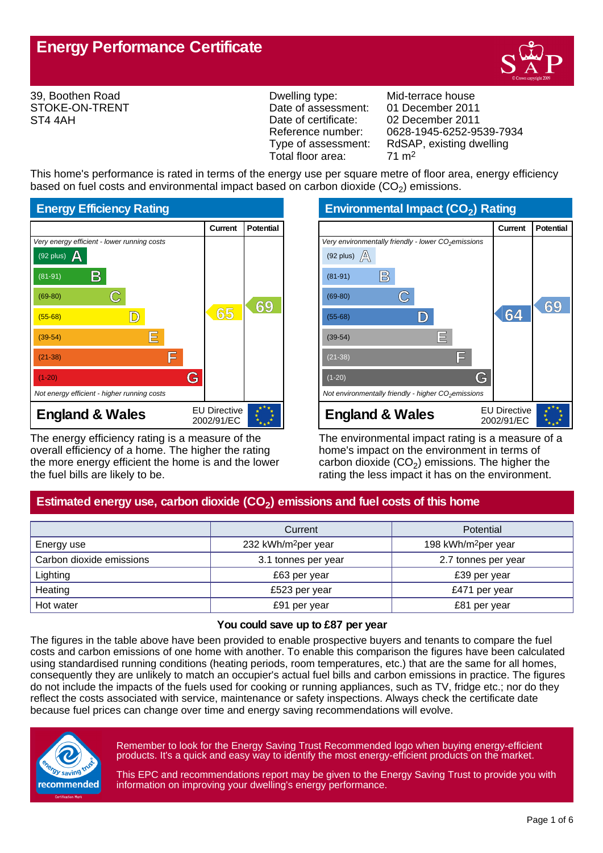

39, Boothen Road STOKE-ON-TRENT ST4 4AH

Dwelling type: Mid-terrace house Date of assessment: 01 December 2011<br>Date of certificate: 02 December 2011 Date of certificate: 02 December 2011<br>Reference number: 0628-1945-6252-9 Total floor area: 71 m2

Reference number: 0628-1945-6252-9539-7934<br>Type of assessment: RdSAP, existing dwelling RdSAP, existing dwelling

This home's performance is rated in terms of the energy use per square metre of floor area, energy efficiency based on fuel costs and environmental impact based on carbon dioxide (CO<sub>2</sub>) emissions.



The energy efficiency rating is a measure of the overall efficiency of a home. The higher the rating the more energy efficient the home is and the lower the fuel bills are likely to be.

**Environmental Impact (CO<sup>2</sup> ) Rating**

|                                                                 | Current                           | <b>Potential</b> |
|-----------------------------------------------------------------|-----------------------------------|------------------|
| Very environmentally friendly - lower CO <sub>2</sub> emissions |                                   |                  |
| (92 plus) $\mathbb{A}$                                          |                                   |                  |
| B<br>$(81-91)$                                                  |                                   |                  |
| $(69-80)$                                                       |                                   | 69               |
| $(55-68)$                                                       | 64                                |                  |
| Ε<br>$(39-54)$                                                  |                                   |                  |
| ΙĦ<br>$(21-38)$                                                 |                                   |                  |
| G<br>$(1-20)$                                                   |                                   |                  |
| Not environmentally friendly - higher $CO2$ emissions           |                                   |                  |
| <b>England &amp; Wales</b>                                      | <b>EU Directive</b><br>2002/91/EC |                  |

The environmental impact rating is a measure of a home's impact on the environment in terms of carbon dioxide (CO<sub>2</sub>) emissions. The higher the rating the less impact it has on the environment.

# **Estimated energy use, carbon dioxide (CO<sup>2</sup> ) emissions and fuel costs of this home**

|                          | Current                         | <b>Potential</b>                |  |
|--------------------------|---------------------------------|---------------------------------|--|
| Energy use               | 232 kWh/m <sup>2</sup> per year | 198 kWh/m <sup>2</sup> per year |  |
| Carbon dioxide emissions | 3.1 tonnes per year             | 2.7 tonnes per year             |  |
| Lighting                 | £63 per year                    | £39 per year                    |  |
| Heating                  | £523 per year                   | £471 per year                   |  |
| Hot water                | £91 per year                    | £81 per year                    |  |

#### **You could save up to £87 per year**

The figures in the table above have been provided to enable prospective buyers and tenants to compare the fuel costs and carbon emissions of one home with another. To enable this comparison the figures have been calculated using standardised running conditions (heating periods, room temperatures, etc.) that are the same for all homes, consequently they are unlikely to match an occupier's actual fuel bills and carbon emissions in practice. The figures do not include the impacts of the fuels used for cooking or running appliances, such as TV, fridge etc.; nor do they reflect the costs associated with service, maintenance or safety inspections. Always check the certificate date because fuel prices can change over time and energy saving recommendations will evolve.



Remember to look for the Energy Saving Trust Recommended logo when buying energy-efficient products. It's a quick and easy way to identify the most energy-efficient products on the market.

This EPC and recommendations report may be given to the Energy Saving Trust to provide you with information on improving your dwelling's energy performance.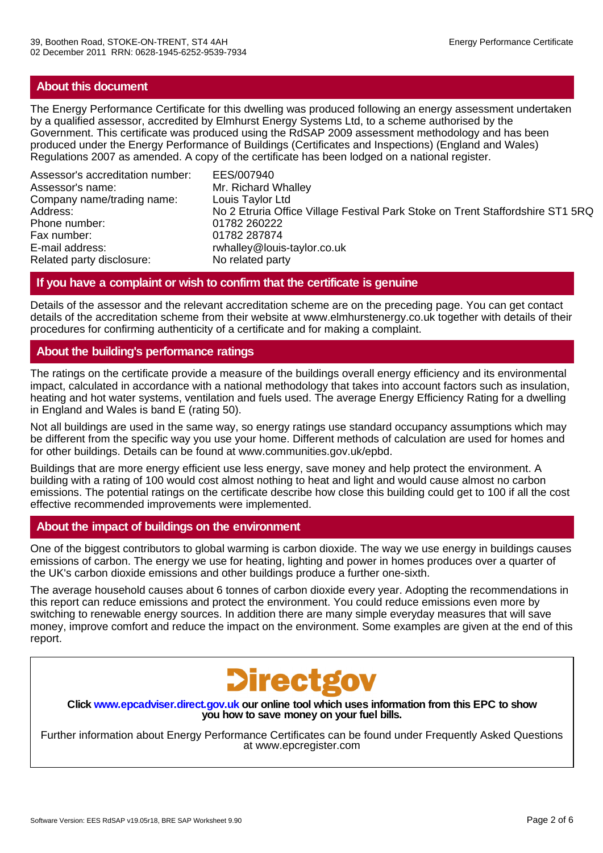# **About this document**

The Energy Performance Certificate for this dwelling was produced following an energy assessment undertaken by a qualified assessor, accredited by Elmhurst Energy Systems Ltd, to a scheme authorised by the Government. This certificate was produced using the RdSAP 2009 assessment methodology and has been produced under the Energy Performance of Buildings (Certificates and Inspections) (England and Wales) Regulations 2007 as amended. A copy of the certificate has been lodged on a national register.

Assessor's accreditation number: EES/007940 Assessor's name: Mr. Richard Whalley Company name/trading name: Louis Taylor Ltd Phone number: 01782 260222 Fax number: 01782 287874 E-mail address: rwhalley@louis-taylor.co.uk<br>Related party disclosure: No related party Related party disclosure:

No 2 Etruria Office Village Festival Park Stoke on Trent Staffordshire ST1 5RQ

# **If you have a complaint or wish to confirm that the certificate is genuine**

Details of the assessor and the relevant accreditation scheme are on the preceding page. You can get contact details of the accreditation scheme from their website at www.elmhurstenergy.co.uk together with details of their procedures for confirming authenticity of a certificate and for making a complaint.

# **About the building's performance ratings**

The ratings on the certificate provide a measure of the buildings overall energy efficiency and its environmental impact, calculated in accordance with a national methodology that takes into account factors such as insulation, heating and hot water systems, ventilation and fuels used. The average Energy Efficiency Rating for a dwelling in England and Wales is band E (rating 50).

Not all buildings are used in the same way, so energy ratings use standard occupancy assumptions which may be different from the specific way you use your home. Different methods of calculation are used for homes and for other buildings. Details can be found at www.communities.gov.uk/epbd.

Buildings that are more energy efficient use less energy, save money and help protect the environment. A building with a rating of 100 would cost almost nothing to heat and light and would cause almost no carbon emissions. The potential ratings on the certificate describe how close this building could get to 100 if all the cost effective recommended improvements were implemented.

# **About the impact of buildings on the environment**

One of the biggest contributors to global warming is carbon dioxide. The way we use energy in buildings causes emissions of carbon. The energy we use for heating, lighting and power in homes produces over a quarter of the UK's carbon dioxide emissions and other buildings produce a further one-sixth.

The average household causes about 6 tonnes of carbon dioxide every year. Adopting the recommendations in this report can reduce emissions and protect the environment. You could reduce emissions even more by switching to renewable energy sources. In addition there are many simple everyday measures that will save money, improve comfort and reduce the impact on the environment. Some examples are given at the end of this report.



**Click www.epcadviser.direct.gov.uk our online tool which uses information from this EPC to show you how to save money on your fuel bills.**

Further information about Energy Performance Certificates can be found under Frequently Asked Questions at www.epcregister.com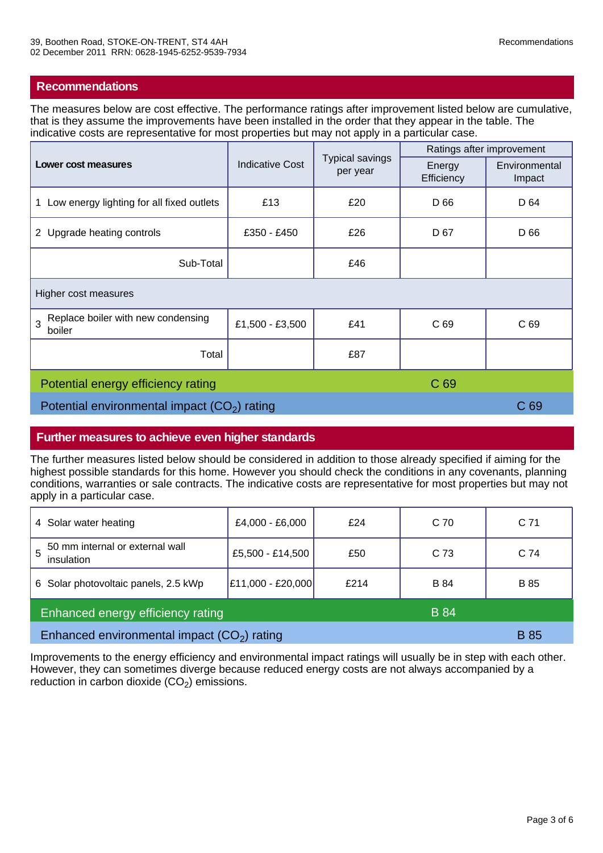# **Recommendations**

The measures below are cost effective. The performance ratings after improvement listed below are cumulative, that is they assume the improvements have been installed in the order that they appear in the table. The indicative costs are representative for most properties but may not apply in a particular case.

| Lower cost measures                               | <b>Indicative Cost</b> | <b>Typical savings</b><br>per year | Ratings after improvement |                         |
|---------------------------------------------------|------------------------|------------------------------------|---------------------------|-------------------------|
|                                                   |                        |                                    | Energy<br>Efficiency      | Environmental<br>Impact |
| 1 Low energy lighting for all fixed outlets       | £13                    | £20                                | D 66                      | D 64                    |
| 2 Upgrade heating controls                        | £350 - £450            | £26                                | D 67                      | D 66                    |
| Sub-Total                                         |                        | £46                                |                           |                         |
| Higher cost measures                              |                        |                                    |                           |                         |
| Replace boiler with new condensing<br>3<br>boiler | £1,500 - £3,500        | £41                                | C <sub>69</sub>           | C <sub>69</sub>         |
| Total                                             |                        | £87                                |                           |                         |
| C 69<br>Potential energy efficiency rating        |                        |                                    |                           |                         |
| Potential environmental impact $(CO2)$ rating     |                        |                                    | C <sub>69</sub>           |                         |

## **Further measures to achieve even higher standards**

The further measures listed below should be considered in addition to those already specified if aiming for the highest possible standards for this home. However you should check the conditions in any covenants, planning conditions, warranties or sale contracts. The indicative costs are representative for most properties but may not apply in a particular case.

| 4 Solar water heating                              | £4,000 - £6,000   | f24  | C 70        | C 71        |
|----------------------------------------------------|-------------------|------|-------------|-------------|
| 50 mm internal or external wall<br>5<br>insulation | £5,500 - £14,500  | £50  | C 73        | C 74        |
| 6 Solar photovoltaic panels, 2.5 kWp               | £11,000 - £20,000 | £214 | <b>B</b> 84 | <b>B</b> 85 |
| Enhanced energy efficiency rating<br><b>B</b> 84   |                   |      |             |             |
| Enhanced environmental impact $(CO2)$ rating       |                   |      | <b>B</b> 85 |             |

Improvements to the energy efficiency and environmental impact ratings will usually be in step with each other. However, they can sometimes diverge because reduced energy costs are not always accompanied by a reduction in carbon dioxide  $(CO<sub>2</sub>)$  emissions.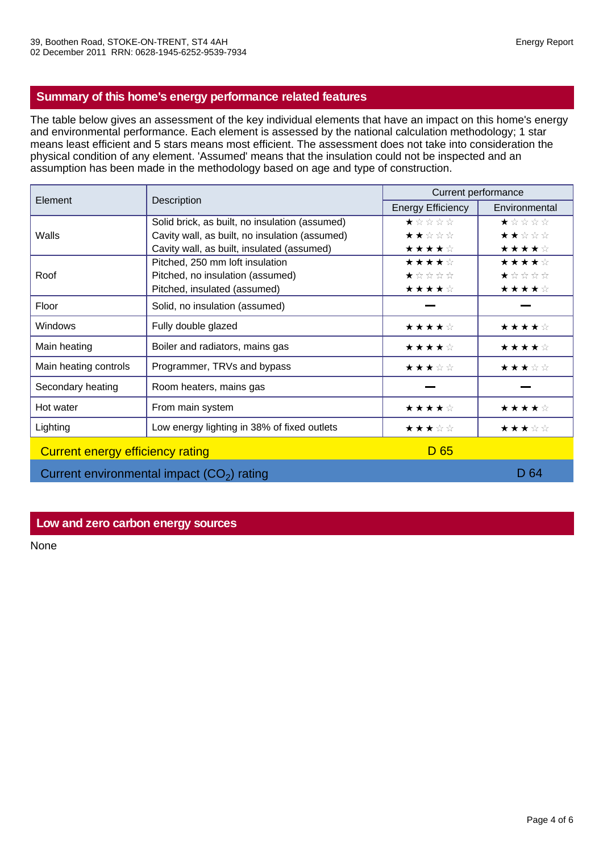# **Summary of this home's energy performance related features**

The table below gives an assessment of the key individual elements that have an impact on this home's energy and environmental performance. Each element is assessed by the national calculation methodology; 1 star means least efficient and 5 stars means most efficient. The assessment does not take into consideration the physical condition of any element. 'Assumed' means that the insulation could not be inspected and an assumption has been made in the methodology based on age and type of construction.

| Element                                     | Description                                    | Current performance                         |               |  |
|---------------------------------------------|------------------------------------------------|---------------------------------------------|---------------|--|
|                                             |                                                | <b>Energy Efficiency</b>                    | Environmental |  |
|                                             | Solid brick, as built, no insulation (assumed) | ★☆☆☆☆                                       | ★☆☆☆☆         |  |
| Walls                                       | Cavity wall, as built, no insulation (assumed) | ★★☆☆☆                                       | ★★☆☆☆         |  |
|                                             | Cavity wall, as built, insulated (assumed)     | ★★★★☆                                       | ★★★★☆         |  |
|                                             | Pitched, 250 mm loft insulation                | ★★★★☆                                       | ★★★★☆         |  |
| Roof                                        | Pitched, no insulation (assumed)               | $\star \; \star \; \star \; \star \; \star$ | ★☆☆☆☆         |  |
|                                             | Pitched, insulated (assumed)                   | ★★★★☆                                       | ★★★★☆         |  |
| Floor                                       | Solid, no insulation (assumed)                 |                                             |               |  |
| <b>Windows</b>                              | Fully double glazed                            | ★★★★☆                                       | ★★★★☆         |  |
| Main heating                                | Boiler and radiators, mains gas                | ★★★★☆                                       | ★★★★☆         |  |
| Main heating controls                       | Programmer, TRVs and bypass                    | ★★★☆☆                                       | ★★★☆☆         |  |
| Secondary heating                           | Room heaters, mains gas                        |                                             |               |  |
| Hot water                                   | From main system                               | ★★★★☆                                       | ★★★★☆         |  |
| Lighting                                    | Low energy lighting in 38% of fixed outlets    | ★★★☆☆                                       | ★★★☆☆         |  |
| Current energy efficiency rating            |                                                | D <sub>65</sub>                             |               |  |
| Current environmental impact $(CO2)$ rating |                                                |                                             | D 64          |  |

## **Low and zero carbon energy sources**

None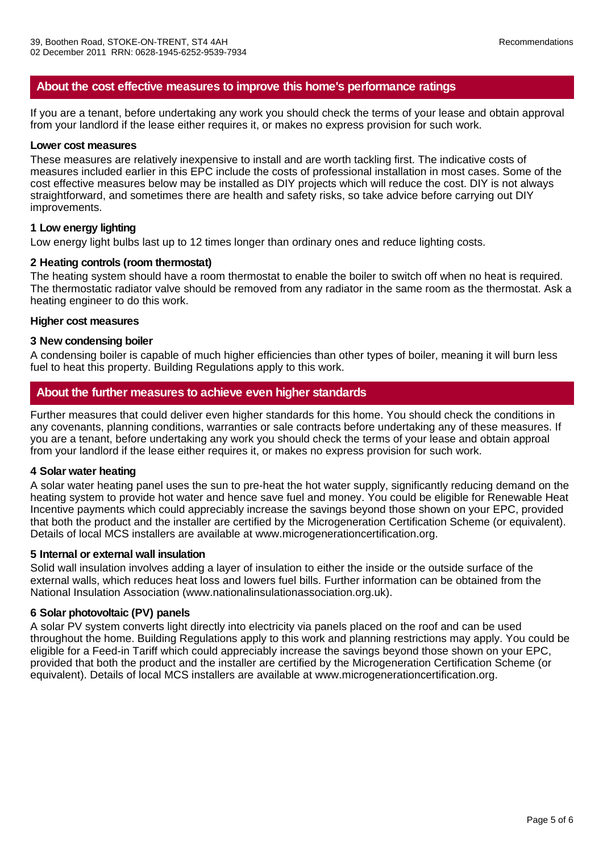# **About the cost effective measures to improve this home's performance ratings**

If you are a tenant, before undertaking any work you should check the terms of your lease and obtain approval from your landlord if the lease either requires it, or makes no express provision for such work.

#### **Lower cost measures**

These measures are relatively inexpensive to install and are worth tackling first. The indicative costs of measures included earlier in this EPC include the costs of professional installation in most cases. Some of the cost effective measures below may be installed as DIY projects which will reduce the cost. DIY is not always straightforward, and sometimes there are health and safety risks, so take advice before carrying out DIY improvements.

#### **1 Low energy lighting**

Low energy light bulbs last up to 12 times longer than ordinary ones and reduce lighting costs.

### **2 Heating controls (room thermostat)**

The heating system should have a room thermostat to enable the boiler to switch off when no heat is required. The thermostatic radiator valve should be removed from any radiator in the same room as the thermostat. Ask a heating engineer to do this work.

#### **Higher cost measures**

#### **3 New condensing boiler**

A condensing boiler is capable of much higher efficiencies than other types of boiler, meaning it will burn less fuel to heat this property. Building Regulations apply to this work.

## **About the further measures to achieve even higher standards**

Further measures that could deliver even higher standards for this home. You should check the conditions in any covenants, planning conditions, warranties or sale contracts before undertaking any of these measures. If you are a tenant, before undertaking any work you should check the terms of your lease and obtain approal from your landlord if the lease either requires it, or makes no express provision for such work.

#### **4 Solar water heating**

A solar water heating panel uses the sun to pre-heat the hot water supply, significantly reducing demand on the heating system to provide hot water and hence save fuel and money. You could be eligible for Renewable Heat Incentive payments which could appreciably increase the savings beyond those shown on your EPC, provided that both the product and the installer are certified by the Microgeneration Certification Scheme (or equivalent). Details of local MCS installers are available at www.microgenerationcertification.org.

#### **5 Internal or external wall insulation**

Solid wall insulation involves adding a layer of insulation to either the inside or the outside surface of the external walls, which reduces heat loss and lowers fuel bills. Further information can be obtained from the National Insulation Association (www.nationalinsulationassociation.org.uk).

#### **6 Solar photovoltaic (PV) panels**

A solar PV system converts light directly into electricity via panels placed on the roof and can be used throughout the home. Building Regulations apply to this work and planning restrictions may apply. You could be eligible for a Feed-in Tariff which could appreciably increase the savings beyond those shown on your EPC, provided that both the product and the installer are certified by the Microgeneration Certification Scheme (or equivalent). Details of local MCS installers are available at www.microgenerationcertification.org.